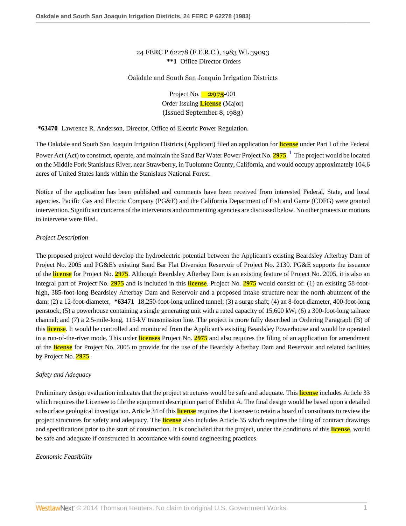# 24 FERC P 62278 (F.E.R.C.), 1983 WL 39093 **\*\*1** Office Director Orders

#### Oakdale and South San Joaquin Irrigation Districts

<span id="page-0-0"></span>Project No. **2975**-001 Order Issuing **License** (Major) (Issued September 8, 1983)

**\*63470** Lawrence R. Anderson, Director, Office of Electric Power Regulation.

The Oakdale and South San Joaquin Irrigation Districts (Applicant) filed an application for **license** under Part I of the Federal Power Act (Act) to construct, operate, and maintain the Sand Bar Water Power Project No. **2975**. [1](#page-7-0) The project would be located on the Middle Fork Stanislaus River, near Strawberry, in Tuolumne County, California, and would occupy approximately 104.6 acres of United States lands within the Stanislaus National Forest.

Notice of the application has been published and comments have been received from interested Federal, State, and local agencies. Pacific Gas and Electric Company (PG&E) and the California Department of Fish and Game (CDFG) were granted intervention. Significant concerns of the intervenors and commenting agencies are discussed below. No other protests or motions to intervene were filed.

## *Project Description*

The proposed project would develop the hydroelectric potential between the Applicant's existing Beardsley Afterbay Dam of Project No. 2005 and PG&E's existing Sand Bar Flat Diversion Reservoir of Project No. 2130. PG&E supports the issuance of the **license** for Project No. **2975**. Although Beardsley Afterbay Dam is an existing feature of Project No. 2005, it is also an integral part of Project No. **2975** and is included in this **license**. Project No. **2975** would consist of: (1) an existing 58-foothigh, 385-foot-long Beardsley Afterbay Dam and Reservoir and a proposed intake structure near the north abutment of the dam; (2) a 12-foot-diameter, **\*63471** 18,250-foot-long unlined tunnel; (3) a surge shaft; (4) an 8-foot-diameter, 400-foot-long penstock; (5) a powerhouse containing a single generating unit with a rated capacity of 15,600 kW; (6) a 300-foot-long tailrace channel; and (7) a 2.5-mile-long, 115-kV transmission line. The project is more fully described in Ordering Paragraph (B) of this **license**. It would be controlled and monitored from the Applicant's existing Beardsley Powerhouse and would be operated in a run-of-the-river mode. This order **licenses** Project No. **2975** and also requires the filing of an application for amendment of the **license** for Project No. 2005 to provide for the use of the Beardsly Afterbay Dam and Reservoir and related facilities by Project No. **2975**.

## *Safety and Adequacy*

Preliminary design evaluation indicates that the project structures would be safe and adequate. This **license** includes Article 33 which requires the Licensee to file the equipment description part of Exhibit A. The final design would be based upon a detailed subsurface geological investigation. Article 34 of this **license** requires the Licensee to retain a board of consultants to review the project structures for safety and adequacy. The **license** also includes Article 35 which requires the filing of contract drawings and specifications prior to the start of construction. It is concluded that the project, under the conditions of this **license**, would be safe and adequate if constructed in accordance with sound engineering practices.

## *Economic Feasibility*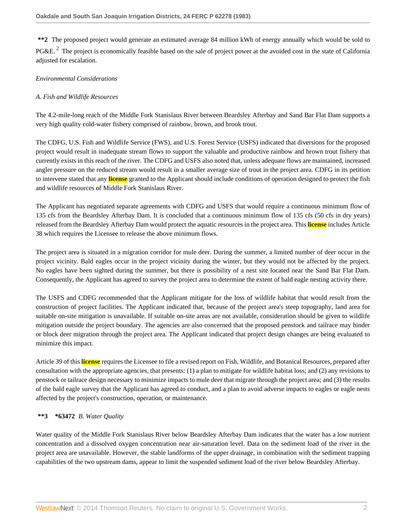<span id="page-1-0"></span>**\*\*2** The proposed project would generate an estimated average 84 million kWh of energy annually which would be sold to PG&E.<sup>[2](#page-7-1)</sup> The project is economically feasible based on the sale of project power at the avoided cost in the state of California adjusted for escalation.

## *Environmental Considerations*

## *A. Fish and Wildlife Resources*

The 4.2-mile-long reach of the Middle Fork Stanislaus River between Beardsley Afterbay and Sand Bar Flat Dam supports a very high quality cold-water fishery comprised of rainbow, brown, and brook trout.

The CDFG, U.S. Fish and Wildlife Service (FWS), and U.S. Forest Service (USFS) indicated that diversions for the proposed project would result in inadequate stream flows to support the valuable and productive rainbow and brown trout fishery that currently exists in this reach of the river. The CDFG and USFS also noted that, unless adequate flows are maintained, increased angler pressure on the reduced stream would result in a smaller average size of trout in the project area. CDFG in its petition to intervene stated that any **license** granted to the Applicant should include conditions of operation designed to protect the fish and wildlife resources of Middle Fork Stanislaus River.

The Applicant has negotiated separate agreements with CDFG and USFS that would require a continuous minimum flow of 135 cfs from the Beardsley Afterbay Dam. It is concluded that a continuous minimum flow of 135 cfs (50 cfs in dry years) released from the Beardsley Afterbay Dam would protect the aquatic resources in the project area. This **license** includes Article 38 which requires the Licensee to release the above minimum flows.

The project area is situated in a migration corridor for mule deer. During the summer, a limited number of deer occur in the project vicinity. Bald eagles occur in the project vicinity during the winter, but they would not be affected by the project. No eagles have been sighted during the summer, but there is possibility of a nest site located near the Sand Bar Flat Dam. Consequently, the Applicant has agreed to survey the project area to determine the extent of bald eagle nesting activity there.

The USFS and CDFG recommended that the Applicant mitigate for the loss of wildlife habitat that would result from the construction of project facilities. The Applicant indicated that, because of the project area's steep topography, land area for suitable on-site mitigation is unavailable. If suitable on-site areas are not available, consideration should be given to wildlife mitigation outside the project boundary. The agencies are also concerned that the proposed penstock and tailrace may hinder or block deer migration through the project area. The Applicant indicated that project design changes are being evaluated to minimize this impact.

Article 39 of this **license** requires the Licensee to file a revised report on Fish, Wildlife, and Botanical Resources, prepared after consultation with the appropriate agencies, that presents: (1) a plan to mitigate for wildlife habitat loss; and (2) any revisions to penstock or tailrace design necessary to minimize impacts to mule deer that migrate through the project area; and (3) the results of the bald eagle survey that the Applicant has agreed to conduct, and a plan to avoid adverse impacts to eagles or eagle nests affected by the project's construction, operation, or maintenance.

# **\*\*3 \*63472** *B. Water Quality*

Water quality of the Middle Fork Stanislaus River below Beardsley Afterbay Dam indicates that the water has a low nutrient concentration and a dissolved oxygen concentration near air-saturation level. Data on the sediment load of the river in the project area are unavailable. However, the stable landforms of the upper drainage, in combination with the sediment trapping capabilities of the two upstream dams, appear to limit the suspended sediment load of the river below Beardsley Afterbay.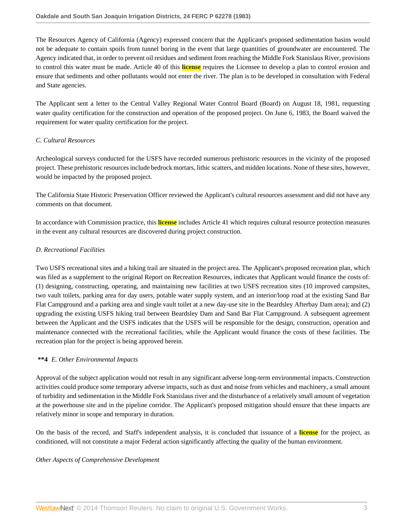The Resources Agency of California (Agency) expressed concern that the Applicant's proposed sedimentation basins would not be adequate to contain spoils from tunnel boring in the event that large quantities of groundwater are encountered. The Agency indicated that, in order to prevent oil residues and sediment from reaching the Middle Fork Stanislaus River, provisions to control this water must be made. Article 40 of this **license** requires the Licensee to develop a plan to control erosion and ensure that sediments and other pollutants would not enter the river. The plan is to be developed in consultation with Federal and State agencies.

The Applicant sent a letter to the Central Valley Regional Water Control Board (Board) on August 18, 1981, requesting water quality certification for the construction and operation of the proposed project. On June 6, 1983, the Board waived the requirement for water quality certification for the project.

# *C. Cultural Resources*

Archeological surveys conducted for the USFS have recorded numerous prehistoric resources in the vicinity of the proposed project. These prehistoric resources include bedrock mortars, lithic scatters, and midden locations. None of these sites, however, would be impacted by the proposed project.

The California State Historic Preservation Officer reviewed the Applicant's cultural resources assessment and did not have any comments on that document.

In accordance with Commission practice, this **license** includes Article 41 which requires cultural resource protection measures in the event any cultural resources are discovered during project construction.

## *D. Recreational Facilities*

Two USFS recreational sites and a hiking trail are situated in the project area. The Applicant's proposed recreation plan, which was filed as a supplement to the original Report on Recreation Resources, indicates that Applicant would finance the costs of: (1) designing, constructing, operating, and maintaining new facilities at two USFS recreation sites (10 improved campsites, two vault toilets, parking area for day users, potable water supply system, and an interior/loop road at the existing Sand Bar Flat Campground and a parking area and single vault toilet at a new day-use site in the Beardsley Afterbay Dam area); and (2) upgrading the existing USFS hiking trail between Beardsley Dam and Sand Bar Flat Campground. A subsequent agreement between the Applicant and the USFS indicates that the USFS will be responsible for the design, construction, operation and maintenance connected with the recreational facilities, while the Applicant would finance the costs of these facilities. The recreation plan for the project is being approved herein.

## **\*\*4** *E. Other Environmental Impacts*

Approval of the subject application would not result in any significant adverse long-term environmental impacts. Construction activities could produce some temporary adverse impacts, such as dust and noise from vehicles and machinery, a small amount of turbidity and sedimentation in the Middle Fork Stanislaus river and the disturbance of a relatively small amount of vegetation at the powerhouse site and in the pipeline corridor. The Applicant's proposed mitigation should ensure that these impacts are relatively minor in scope and temporary in duration.

On the basis of the record, and Staff's independent analysis, it is concluded that issuance of a **license** for the project, as conditioned, will not constitute a major Federal action significantly affecting the quality of the human environment.

## *Other Aspects of Comprehensive Development*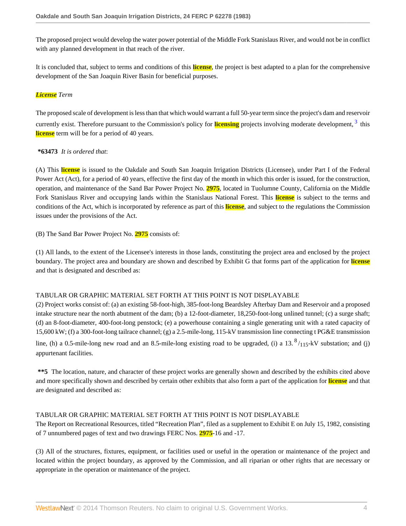The proposed project would develop the water power potential of the Middle Fork Stanislaus River, and would not be in conflict with any planned development in that reach of the river.

It is concluded that, subject to terms and conditions of this **license**, the project is best adapted to a plan for the comprehensive development of the San Joaquin River Basin for beneficial purposes.

## *License Term*

The proposed scale of development is less than that which would warrant a full 50-year term since the project's dam and reservoir currently exist. Therefore pursuant to the Commission's policy for **licensing** projects involving moderate development, <sup>[3](#page-7-2)</sup> this **license** term will be for a period of 40 years.

## <span id="page-3-0"></span>**\*63473** *It is ordered that*:

(A) This **license** is issued to the Oakdale and South San Joaquin Irrigation Districts (Licensee), under Part I of the Federal Power Act (Act), for a period of 40 years, effective the first day of the month in which this order is issued, for the construction, operation, and maintenance of the Sand Bar Power Project No. **2975**, located in Tuolumne County, California on the Middle Fork Stanislaus River and occupying lands within the Stanislaus National Forest. This **license** is subject to the terms and conditions of the Act, which is incorporated by reference as part of this **license**, and subject to the regulations the Commission issues under the provisions of the Act.

(B) The Sand Bar Power Project No. **2975** consists of:

(1) All lands, to the extent of the Licensee's interests in those lands, constituting the project area and enclosed by the project boundary. The project area and boundary are shown and described by Exhibit G that forms part of the application for **license** and that is designated and described as:

## TABULAR OR GRAPHIC MATERIAL SET FORTH AT THIS POINT IS NOT DISPLAYABLE

(2) Project works consist of: (a) an existing 58-foot-high, 385-foot-long Beardsley Afterbay Dam and Reservoir and a proposed intake structure near the north abutment of the dam; (b) a 12-foot-diameter, 18,250-foot-long unlined tunnel; (c) a surge shaft; (d) an 8-foot-diameter, 400-foot-long penstock; (e) a powerhouse containing a single generating unit with a rated capacity of 15,600 kW; (f) a 300-foot-long tailrace channel; (g) a 2.5-mile-long, 115-kV transmission line connecting t PG&E transmission line, (h) a 0.5-mile-long new road and an 8.5-mile-long existing road to be upgraded, (i) a  $13.^8/_{115}$ -kV substation; and (j) appurtenant facilities.

**\*\*5** The location, nature, and character of these project works are generally shown and described by the exhibits cited above and more specifically shown and described by certain other exhibits that also form a part of the application for **license** and that are designated and described as:

# TABULAR OR GRAPHIC MATERIAL SET FORTH AT THIS POINT IS NOT DISPLAYABLE

The Report on Recreational Resources, titled "Recreation Plan", filed as a supplement to Exhibit E on July 15, 1982, consisting of 7 unnumbered pages of text and two drawings FERC Nos. **2975**-16 and -17.

(3) All of the structures, fixtures, equipment, or facilities used or useful in the operation or maintenance of the project and located within the project boundary, as approved by the Commission, and all riparian or other rights that are necessary or appropriate in the operation or maintenance of the project.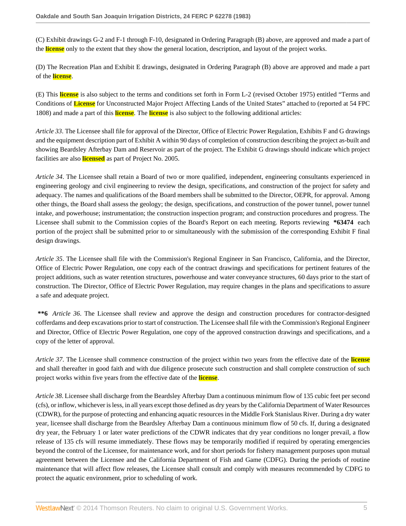(C) Exhibit drawings G-2 and F-1 through F-10, designated in Ordering Paragraph (B) above, are approved and made a part of the **license** only to the extent that they show the general location, description, and layout of the project works.

(D) The Recreation Plan and Exhibit E drawings, designated in Ordering Paragraph (B) above are approved and made a part of the **license**.

(E) This **license** is also subject to the terms and conditions set forth in Form L-2 (revised October 1975) entitled "Terms and Conditions of **License** for Unconstructed Major Project Affecting Lands of the United States" attached to (reported at 54 FPC 1808) and made a part of this **license**. The **license** is also subject to the following additional articles:

*Article 33*. The Licensee shall file for approval of the Director, Office of Electric Power Regulation, Exhibits F and G drawings and the equipment description part of Exhibit A within 90 days of completion of construction describing the project as-built and showing Beardsley Afterbay Dam and Reservoir as part of the project. The Exhibit G drawings should indicate which project facilities are also **licensed** as part of Project No. 2005.

*Article 34*. The Licensee shall retain a Board of two or more qualified, independent, engineering consultants experienced in engineering geology and civil engineering to review the design, specifications, and construction of the project for safety and adequacy. The names and qualifications of the Board members shall be submitted to the Director, OEPR, for approval. Among other things, the Board shall assess the geology; the design, specifications, and construction of the power tunnel, power tunnel intake, and powerhouse; instrumentation; the construction inspection program; and construction procedures and progress. The Licensee shall submit to the Commission copies of the Board's Report on each meeting. Reports reviewing **\*63474** each portion of the project shall be submitted prior to or simultaneously with the submission of the corresponding Exhibit F final design drawings.

*Article 35*. The Licensee shall file with the Commission's Regional Engineer in San Francisco, California, and the Director, Office of Electric Power Regulation, one copy each of the contract drawings and specifications for pertinent features of the project additions, such as water retention structures, powerhouse and water conveyance structures, 60 days prior to the start of construction. The Director, Office of Electric Power Regulation, may require changes in the plans and specifications to assure a safe and adequate project.

**\*\*6** *Article 36*. The Licensee shall review and approve the design and construction procedures for contractor-designed cofferdams and deep excavations prior to start of construction. The Licensee shall file with the Commission's Regional Engineer and Director, Office of Electric Power Regulation, one copy of the approved construction drawings and specifications, and a copy of the letter of approval.

*Article 37*. The Licensee shall commence construction of the project within two years from the effective date of the **license** and shall thereafter in good faith and with due diligence prosecute such construction and shall complete construction of such project works within five years from the effective date of the **license**.

*Article 38*. Licensee shall discharge from the Beardsley Afterbay Dam a continuous minimum flow of 135 cubic feet per second (cfs), or inflow, whichever is less, in all years except those defined as dry years by the California Department of Water Resources (CDWR), for the purpose of protecting and enhancing aquatic resources in the Middle Fork Stanislaus River. During a dry water year, licensee shall discharge from the Beardsley Afterbay Dam a continuous minimum flow of 50 cfs. If, during a designated dry year, the February 1 or later water predictions of the CDWR indicates that dry year conditions no longer prevail, a flow release of 135 cfs will resume immediately. These flows may be temporarily modified if required by operating emergencies beyond the control of the Licensee, for maintenance work, and for short periods for fishery management purposes upon mutual agreement between the Licensee and the California Department of Fish and Game (CDFG). During the periods of routine maintenance that will affect flow releases, the Licensee shall consult and comply with measures recommended by CDFG to protect the aquatic environment, prior to scheduling of work.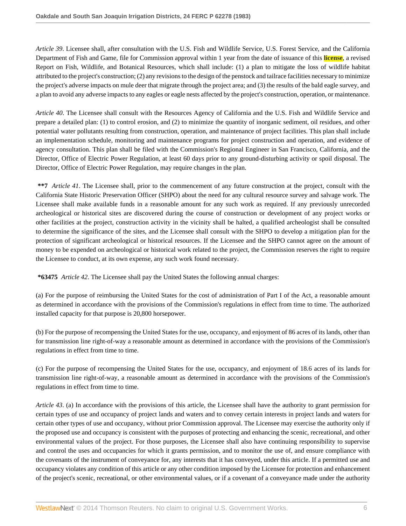*Article 39*. Licensee shall, after consultation with the U.S. Fish and Wildlife Service, U.S. Forest Service, and the California Department of Fish and Game, file for Commission approval within 1 year from the date of issuance of this **license**, a revised Report on Fish, Wildlife, and Botanical Resources, which shall include: (1) a plan to mitigate the loss of wildlife habitat attributed to the project's construction; (2) any revisions to the design of the penstock and tailrace facilities necessary to minimize the project's adverse impacts on mule deer that migrate through the project area; and (3) the results of the bald eagle survey, and a plan to avoid any adverse impacts to any eagles or eagle nests affected by the project's construction, operation, or maintenance.

*Article 40*. The Licensee shall consult with the Resources Agency of California and the U.S. Fish and Wildlife Service and prepare a detailed plan: (1) to control erosion, and (2) to minimize the quantity of inorganic sediment, oil residues, and other potential water pollutants resulting from construction, operation, and maintenance of project facilities. This plan shall include an implementation schedule, monitoring and maintenance programs for project construction and operation, and evidence of agency consultation. This plan shall be filed with the Commission's Regional Engineer in San Francisco, California, and the Director, Office of Electric Power Regulation, at least 60 days prior to any ground-disturbing activity or spoil disposal. The Director, Office of Electric Power Regulation, may require changes in the plan.

**\*\*7** *Article 41*. The Licensee shall, prior to the commencement of any future construction at the project, consult with the California State Historic Preservation Officer (SHPO) about the need for any cultural resource survey and salvage work. The Licensee shall make available funds in a reasonable amount for any such work as required. If any previously unrecorded archeological or historical sites are discovered during the course of construction or development of any project works or other facilities at the project, construction activity in the vicinity shall be halted, a qualified archeologist shall be consulted to determine the significance of the sites, and the Licensee shall consult with the SHPO to develop a mitigation plan for the protection of significant archeological or historical resources. If the Licensee and the SHPO cannot agree on the amount of money to be expended on archeological or historical work related to the project, the Commission reserves the right to require the Licensee to conduct, at its own expense, any such work found necessary.

**\*63475** *Article 42*. The Licensee shall pay the United States the following annual charges:

(a) For the purpose of reimbursing the United States for the cost of administration of Part I of the Act, a reasonable amount as determined in accordance with the provisions of the Commission's regulations in effect from time to time. The authorized installed capacity for that purpose is 20,800 horsepower.

(b) For the purpose of recompensing the United States for the use, occupancy, and enjoyment of 86 acres of its lands, other than for transmission line right-of-way a reasonable amount as determined in accordance with the provisions of the Commission's regulations in effect from time to time.

(c) For the purpose of recompensing the United States for the use, occupancy, and enjoyment of 18.6 acres of its lands for transmission line right-of-way, a reasonable amount as determined in accordance with the provisions of the Commission's regulations in effect from time to time.

*Article 43*. (a) In accordance with the provisions of this article, the Licensee shall have the authority to grant permission for certain types of use and occupancy of project lands and waters and to convey certain interests in project lands and waters for certain other types of use and occupancy, without prior Commission approval. The Licensee may exercise the authority only if the proposed use and occupancy is consistent with the purposes of protecting and enhancing the scenic, recreational, and other environmental values of the project. For those purposes, the Licensee shall also have continuing responsibility to supervise and control the uses and occupancies for which it grants permission, and to monitor the use of, and ensure compliance with the covenants of the instrument of conveyance for, any interests that it has conveyed, under this article. If a permitted use and occupancy violates any condition of this article or any other condition imposed by the Licensee for protection and enhancement of the project's scenic, recreational, or other environmental values, or if a covenant of a conveyance made under the authority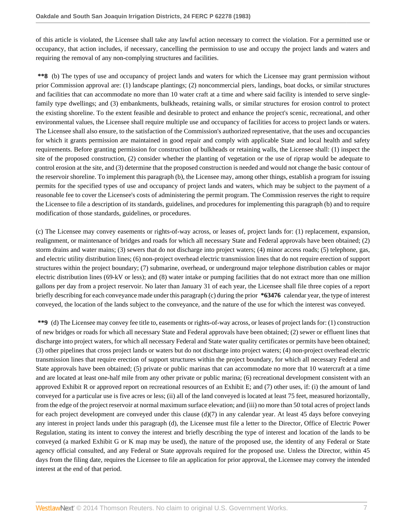of this article is violated, the Licensee shall take any lawful action necessary to correct the violation. For a permitted use or occupancy, that action includes, if necessary, cancelling the permission to use and occupy the project lands and waters and requiring the removal of any non-complying structures and facilities.

**\*\*8** (b) The types of use and occupancy of project lands and waters for which the Licensee may grant permission without prior Commission approval are: (1) landscape plantings; (2) noncommercial piers, landings, boat docks, or similar structures and facilities that can accommodate no more than 10 water craft at a time and where said facility is intended to serve singlefamily type dwellings; and (3) embankments, bulkheads, retaining walls, or similar structures for erosion control to protect the existing shoreline. To the extent feasible and desirable to protect and enhance the project's scenic, recreational, and other environmental values, the Licensee shall require multiple use and occupancy of facilities for access to project lands or waters. The Licensee shall also ensure, to the satisfaction of the Commission's authorized representative, that the uses and occupancies for which it grants permission are maintained in good repair and comply with applicable State and local health and safety requirements. Before granting permission for construction of bulkheads or retaining walls, the Licensee shall: (1) inspect the site of the proposed construction, (2) consider whether the planting of vegetation or the use of riprap would be adequate to control erosion at the site, and (3) determine that the proposed construction is needed and would not change the basic contour of the reservoir shoreline. To implement this paragraph (b), the Licensee may, among other things, establish a program for issuing permits for the specified types of use and occupancy of project lands and waters, which may be subject to the payment of a reasonable fee to cover the Licensee's costs of administering the permit program. The Commission reserves the right to require the Licensee to file a description of its standards, guidelines, and procedures for implementing this paragraph (b) and to require modification of those standards, guidelines, or procedures.

(c) The Licensee may convey easements or rights-of-way across, or leases of, project lands for: (1) replacement, expansion, realignment, or maintenance of bridges and roads for which all necessary State and Federal approvals have been obtained; (2) storm drains and water mains; (3) sewers that do not discharge into project waters; (4) minor access roads; (5) telephone, gas, and electric utility distribution lines; (6) non-project overhead electric transmission lines that do not require erection of support structures within the project boundary; (7) submarine, overhead, or underground major telephone distribution cables or major electric distribution lines (69-kV or less); and (8) water intake or pumping facilities that do not extract more than one million gallons per day from a project reservoir. No later than January 31 of each year, the Licensee shall file three copies of a report briefly describing for each conveyance made under this paragraph (c) during the prior **\*63476** calendar year, the type of interest conveyed, the location of the lands subject to the conveyance, and the nature of the use for which the interest was conveyed.

**\*\*9** (d) The Licensee may convey fee title to, easements or rights-of-way across, or leases of project lands for: (1) construction of new bridges or roads for which all necessary State and Federal approvals have been obtained; (2) sewer or effluent lines that discharge into project waters, for which all necessary Federal and State water quality certificates or permits have been obtained; (3) other pipelines that cross project lands or waters but do not discharge into project waters; (4) non-project overhead electric transmission lines that require erection of support structures within the project boundary, for which all necessary Federal and State approvals have been obtained; (5) private or public marinas that can accommodate no more that 10 watercraft at a time and are located at least one-half mile from any other private or public marina; (6) recreational development consistent with an approved Exhibit R or approved report on recreational resources of an Exhibit E; and (7) other uses, if: (i) the amount of land conveyed for a particular use is five acres or less; (ii) all of the land conveyed is located at least 75 feet, measured horizontally, from the edge of the project reservoir at normal maximum surface elevation; and (iii) no more than 50 total acres of project lands for each project development are conveyed under this clause  $(d)(7)$  in any calendar year. At least 45 days before conveying any interest in project lands under this paragraph (d), the Licensee must file a letter to the Director, Office of Electric Power Regulation, stating its intent to convey the interest and briefly describing the type of interest and location of the lands to be conveyed (a marked Exhibit G or K map may be used), the nature of the proposed use, the identity of any Federal or State agency official consulted, and any Federal or State approvals required for the proposed use. Unless the Director, within 45 days from the filing date, requires the Licensee to file an application for prior approval, the Licensee may convey the intended interest at the end of that period.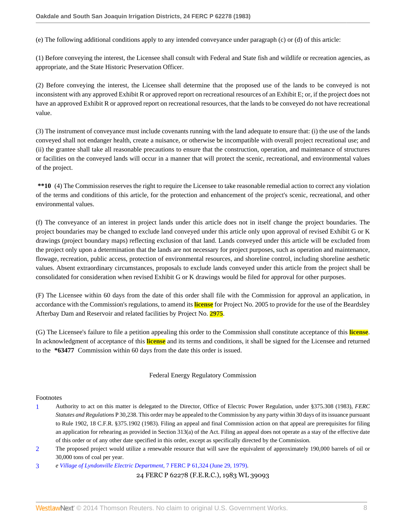(e) The following additional conditions apply to any intended conveyance under paragraph (c) or (d) of this article:

(1) Before conveying the interest, the Licensee shall consult with Federal and State fish and wildlife or recreation agencies, as appropriate, and the State Historic Preservation Officer.

(2) Before conveying the interest, the Licensee shall determine that the proposed use of the lands to be conveyed is not inconsistent with any approved Exhibit R or approved report on recreational resources of an Exhibit E; or, if the project does not have an approved Exhibit R or approved report on recreational resources, that the lands to be conveyed do not have recreational value.

(3) The instrument of conveyance must include covenants running with the land adequate to ensure that: (i) the use of the lands conveyed shall not endanger health, create a nuisance, or otherwise be incompatible with overall project recreational use; and (ii) the grantee shall take all reasonable precautions to ensure that the construction, operation, and maintenance of structures or facilities on the conveyed lands will occur in a manner that will protect the scenic, recreational, and environmental values of the project.

**\*\*10** (4) The Commission reserves the right to require the Licensee to take reasonable remedial action to correct any violation of the terms and conditions of this article, for the protection and enhancement of the project's scenic, recreational, and other environmental values.

(f) The conveyance of an interest in project lands under this article does not in itself change the project boundaries. The project boundaries may be changed to exclude land conveyed under this article only upon approval of revised Exhibit G or K drawings (project boundary maps) reflecting exclusion of that land. Lands conveyed under this article will be excluded from the project only upon a determination that the lands are not necessary for project purposes, such as operation and maintenance, flowage, recreation, public access, protection of environmental resources, and shoreline control, including shoreline aesthetic values. Absent extraordinary circumstances, proposals to exclude lands conveyed under this article from the project shall be consolidated for consideration when revised Exhibit G or K drawings would be filed for approval for other purposes.

(F) The Licensee within 60 days from the date of this order shall file with the Commission for approval an application, in accordance with the Commission's regulations, to amend its **license** for Project No. 2005 to provide for the use of the Beardsley Afterbay Dam and Reservoir and related facilities by Project No. **2975**.

(G) The Licensee's failure to file a petition appealing this order to the Commission shall constitute acceptance of this **license**. In acknowledgment of acceptance of this **license** and its terms and conditions, it shall be signed for the Licensee and returned to the **\*63477** Commission within 60 days from the date this order is issued.

Federal Energy Regulatory Commission

#### Footnotes

- <span id="page-7-0"></span>[1](#page-0-0) Authority to act on this matter is delegated to the Director, Office of Electric Power Regulation, under §375.308 (1983), *FERC Statutes and Regulations* P 30,238. This order may be appealed to the Commission by any party within 30 days of its issuance pursuant to Rule 1902, 18 C.F.R. §375.1902 (1983). Filing an appeal and final Commission action on that appeal are prerequisites for filing an application for rehearing as provided in Section  $313(a)$  of the Act. Filing an appeal does not operate as a stay of the effective date of this order or of any other date specified in this order, except as specifically directed by the Commission.
- <span id="page-7-1"></span>[2](#page-1-0) The proposed project would utilize a renewable resource that will save the equivalent of approximately 190,000 barrels of oil or 30,000 tons of coal per year.

<span id="page-7-2"></span>[3](#page-3-0) *e [Village of Lyndonville Electric Department](http://www.westlaw.com/Link/Document/FullText?findType=Y&serNum=1979148825&pubNum=0000920&originationContext=document&vr=3.0&rs=cblt1.0&transitionType=DocumentItem&contextData=(sc.Search))*, 7 FERC P 61,324 (June 29, 1979).

24 FERC P 62278 (F.E.R.C.), 1983 WL 39093